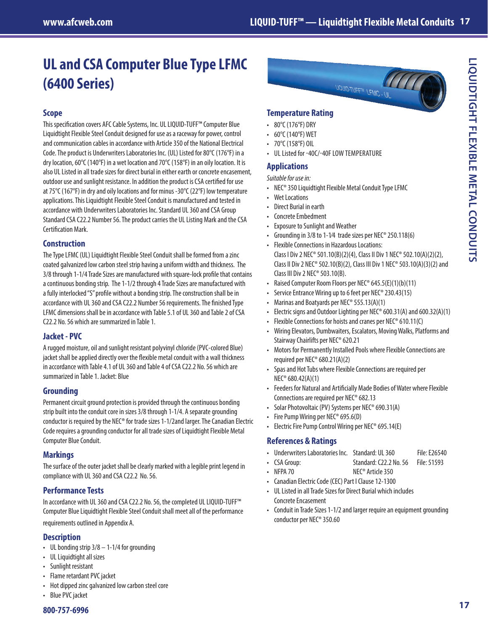# **UL and CSA Computer Blue Type LFMC (6400 Series)**

# **Scope**

This specification covers AFC Cable Systems, Inc. UL LIQUID-TUFF™ Computer Blue Liquidtight Flexible Steel Conduit designed for use as a raceway for power, control and communication cables in accordance with Article 350 of the National Electrical Code. The product is Underwriters Laboratories Inc. (UL) Listed for 80°C (176°F) in a dry location, 60°C (140°F) in a wet location and 70°C (158°F) in an oily location. It is also UL Listed in all trade sizes for direct burial in either earth or concrete encasement, outdoor use and sunlight resistance. In addition the product is CSA certified for use at 75°C (167°F) in dry and oily locations and for minus -30°C (22°F) low temperature applications. This Liquidtight Flexible Steel Conduit is manufactured and tested in accordance with Underwriters Laboratories Inc. Standard UL 360 and CSA Group Standard CSA C22.2 Number 56. The product carries the UL Listing Mark and the CSA Certification Mark.

#### **Construction**

The Type LFMC (UL) Liquidtight Flexible Steel Conduit shall be formed from a zinc coated galvanized low carbon steel strip having a uniform width and thickness. The 3/8 through 1-1/4 Trade Sizes are manufactured with square-lock profile that contains a continuous bonding strip. The 1-1/2 through 4 Trade Sizes are manufactured with a fully interlocked "S" profile without a bonding strip. The construction shall be in accordance with UL 360 and CSA C22.2 Number 56 requirements. The finished Type LFMC dimensions shall be in accordance with Table 5.1 of UL 360 and Table 2 of CSA C22.2 No. 56 which are summarized in Table 1.

## **Jacket - PVC**

A rugged moisture, oil and sunlight resistant polyvinyl chloride (PVC-colored Blue) jacket shall be applied directly over the flexible metal conduit with a wall thickness in accordance with Table 4.1 of UL 360 and Table 4 of CSA C22.2 No. 56 which are summarized in Table 1. Jacket: Blue

#### **Grounding**

Permanent circuit ground protection is provided through the continuous bonding strip built into the conduit core in sizes 3/8 through 1-1/4. A separate grounding conductor is required by the NEC® for trade sizes 1-1/2and larger. The Canadian Electric Code requires a grounding conductor for all trade sizes of Liquidtight Flexible Metal Computer Blue Conduit.

## **Markings**

The surface of the outer jacket shall be clearly marked with a legible print legend in compliance with UL 360 and CSA C22.2 No. 56.

# **Performance Tests**

In accordance with UL 360 and CSA C22.2 No. 56, the completed UL LIQUID-TUFF™ Computer Blue Liquidtight Flexible Steel Conduit shall meet all of the performance requirements outlined in Appendix A.

#### **Description**

- UL bonding strip 3/8 1-1/4 for grounding
- UL Liquidtight all sizes
- Sunlight resistant
- Flame retardant PVC jacket
- Hot dipped zinc galvanized low carbon steel core
- Blue PVC jacket



## **Temperature Rating**

- 80°C (176°F) DRY
- 60°C (140°F) WET
- 70 $\degree$ C (158 $\degree$ F) OIL
- UL Listed for -40C/-40F LOW TEMPERATURE

#### **Applications**

*Suitable for use in:*

- NEC® 350 Liquidtight Flexible Metal Conduit Type LFMC
- **Wet Locations**
- Direct Burial in earth
- Concrete Embedment
- Exposure to Sunlight and Weather
- Grounding in 3/8 to 1-1⁄4 trade sizes per NEC® 250.118(6)
- Flexible Connections in Hazardous Locations: Class I Div 2 NEC® 501.10(B)(2)(4), Class II Div 1 NEC® 502.10(A)(2)(2), Class II Div 2 NEC® 502.10(B)(2), Class III Div 1 NEC® 503.10(A)(3)(2) and Class III Div 2 NEC® 503.10(B).
- Raised Computer Room Floors per NEC® 645.5(E)(1)(b)(11)
- Service Entrance Wiring up to 6 feet per NEC® 230.43(15)
- Marinas and Boatyards per NEC® 555.13(A)(1)
- Electric signs and Outdoor Lighting per NEC® 600.31(A) and 600.32(A)(1)
- Flexible Connections for hoists and cranes per NEC® 610.11(C)
- Wiring Elevators, Dumbwaiters, Escalators, Moving Walks, Platforms and Stairway Chairlifts per NEC® 620.21
- Motors for Permanently Installed Pools where Flexible Connections are required per NEC® 680.21(A)(2)
- Spas and Hot Tubs where Flexible Connections are required per NEC® 680.42(A)(1)
- Feeders for Natural and Artificially Made Bodies of Water where Flexible Connections are required per NEC® 682.13
- Solar Photovoltaic (PV) Systems per NEC® 690.31(A)
- Fire Pump Wiring per NEC® 695.6(D)
- Electric Fire Pump Control Wiring per NEC® 695.14(E)

## **References & Ratings**

- Underwriters Laboratories Inc. Standard: UL 360 File: E26540
- CSA Group: Standard: C22.2 No. 56 File: 51593
- NFPA 70 NEC<sup>®</sup> Article 350
- Canadian Electric Code (CEC) Part I Clause 12-1300
- UL Listed in all Trade Sizes for Direct Burial which includes Concrete Encasement
- Conduit in Trade Sizes 1-1/2 and larger require an equipment grounding conductor per NEC® 350.60